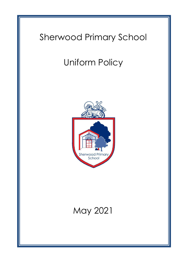# Sherwood Primary School

# Uniform Policy



# May 2021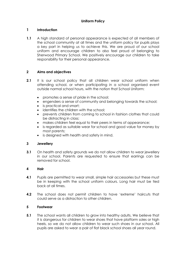# **1 Introduction**

**1.1** A high standard of personal appearance is expected of all members of the school community at all times and the uniform policy for pupils plays a key part in helping us to achieve this. We are proud of our school uniform and encourage children to also feel proud of belonging to Sherwood Primary School. We positively encourage our children to take responsibility for their personal appearance.

# **2 Aims and objectives**

- **2.1** It is our school policy that all children wear school uniform when attending school, or when participating in a school organised event outside normal school hours, with the notion that School Uniform:
	- promotes a sense of pride in the school;
	- engenders a sense of community and belonging towards the school;
	- is practical and smart;
	- identifies the children with the school;
	- prevents children from coming to school in fashion clothes that could be distracting in class;
	- makes children feel equal to their peers in terms of appearance;
	- is regarded as suitable wear for school and good value for money by most parents;
	- is designed with health and safety in mind.

# **3 Jewellery**

**3.1** On health and safety grounds we do not allow children to wear jewellery in our school. Parents are requested to ensure that earrings can be removed for school.

# **4 Hair**

- **4.1** Pupils are permitted to wear small, simple hair accessories but these must be in keeping with the school uniform colours. Long hair must be tied back at all times.
- **4.2** The school does not permit children to have 'extreme' haircuts that could serve as a distraction to other children.

# **5 Footwear**

**5.1** The school wants all children to grow into healthy adults. We believe that it is dangerous for children to wear shoes that have platform soles or high heels, so we do not allow children to wear such shoes in our school. All pupils are asked to wear a pair of flat black school shoes all year round.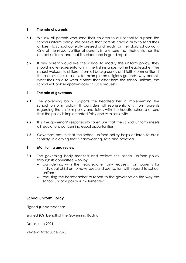# **6 The role of parents**

- **6.1** We ask all parents who send their children to our school to support the school uniform policy. We believe that parents have a duty to send their children to school correctly dressed and ready for their daily schoolwork. One of the responsibilities of parents is to ensure that their child has the correct uniform, and that it is clean and in good repair.
- **6.2** If any parent would like the school to modify the uniform policy, they should make representation, in the first instance, to the headteacher. The school welcomes children from all backgrounds and faith communities. If there are serious reasons, for example on religious grounds, why parents want their child to wear clothes that differ from the school uniform, the school will look sympathetically at such requests.

#### **7 The role of governors**

- **7.1** The governing body supports the headteacher in implementing the school uniform policy. It considers all representations from parents regarding the uniform policy and liaises with the headteacher to ensure that the policy is implemented fairly and with sensitivity.
- **7.2** It is the governors' responsibility to ensure that the school uniform meets all regulations concerning equal opportunities.
- **7.3** Governors ensure that the school uniform policy helps children to dress sensibly, in clothing that is hardwearing, safe and practical.

#### **8 Monitoring and review**

- **8.1** The governing body monitors and reviews the school uniform policy through its committee work by:
	- considering, with the headteacher, any requests from parents for individual children to have special dispensation with regard to school uniform;
	- requiring the headteacher to report to the governors on the way the school uniform policy is implemented.

# **School Uniform Policy**

Signed (Headteacher):

Signed (On behalf of the Governing Body):

Date: June 2021

Review Date: June 2023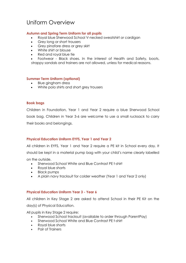# Uniform Overview

### **Autumn and Spring Term Uniform for all pupils**

- Royal blue Sherwood School V-necked sweatshirt or cardigan
- Grey long or short trousers
- Grey pinafore dress or grey skirt
- White shirt or blouse
- Red and royal blue tie
- Footwear Black shoes. In the interest of Health and Safety, boots, strappy sandals and trainers are not allowed, unless for medical reasons.

#### **Summer Term Uniform (optional)**

- Blue gingham dress
- White polo shirts and short grey trousers

#### **Book bags**

Children in Foundation, Year 1 and Year 2 require a blue Sherwood School book bag. Children in Year 3-6 are welcome to use a small rucksack to carry their books and belongings.

# **Physical Education Uniform EYFS, Year 1 and Year 2**

All children in EYFS, Year 1 and Year 2 require a PE kit in School every day. It should be kept in a material pump bag with your child's name clearly labelled

on the outside.

- Sherwood School White and Blue Contrast PE t-shirt
- Royal blue shorts
- Black pumps
- A plain navy tracksuit for colder weather (Year 1 and Year 2 only)

#### **Physical Education Uniform Year 3 - Year 6**

All children in Key Stage 2 are asked to attend School in their PE Kit on the

day(s) of Physical Education.

All pupils in Key Stage 2 require:

- Sherwood School tracksuit (available to order through ParentPay)
- Sherwood School White and Blue Contrast PE t-shirt
- Royal blue shorts
- Pair of Trainers